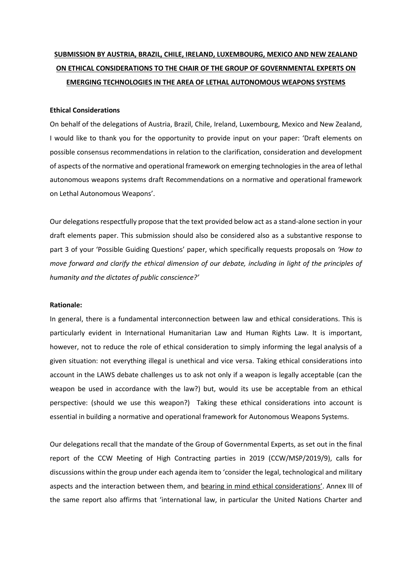# **SUBMISSION BY AUSTRIA, BRAZIL, CHILE, IRELAND, LUXEMBOURG, MEXICO AND NEW ZEALAND ON ETHICAL CONSIDERATIONS TO THE CHAIR OF THE GROUP OF GOVERNMENTAL EXPERTS ON EMERGING TECHNOLOGIES IN THE AREA OF LETHAL AUTONOMOUS WEAPONS SYSTEMS**

# **Ethical Considerations**

On behalf of the delegations of Austria, Brazil, Chile, Ireland, Luxembourg, Mexico and New Zealand, I would like to thank you for the opportunity to provide input on your paper: 'Draft elements on possible consensus recommendations in relation to the clarification, consideration and development of aspects of the normative and operational framework on emerging technologies in the area of lethal autonomous weapons systems draft Recommendations on a normative and operational framework on Lethal Autonomous Weapons'.

Our delegations respectfully propose that the text provided below act as a stand-alone section in your draft elements paper. This submission should also be considered also as a substantive response to part 3 of your 'Possible Guiding Questions' paper, which specifically requests proposals on *'How to move forward and clarify the ethical dimension of our debate, including in light of the principles of humanity and the dictates of public conscience?'* 

### **Rationale:**

In general, there is a fundamental interconnection between law and ethical considerations. This is particularly evident in International Humanitarian Law and Human Rights Law. It is important, however, not to reduce the role of ethical consideration to simply informing the legal analysis of a given situation: not everything illegal is unethical and vice versa. Taking ethical considerations into account in the LAWS debate challenges us to ask not only if a weapon is legally acceptable (can the weapon be used in accordance with the law?) but, would its use be acceptable from an ethical perspective: (should we use this weapon?) Taking these ethical considerations into account is essential in building a normative and operational framework for Autonomous Weapons Systems.

Our delegations recall that the mandate of the Group of Governmental Experts, as set out in the final report of the CCW Meeting of High Contracting parties in 2019 (CCW/MSP/2019/9), calls for discussions within the group under each agenda item to 'consider the legal, technological and military aspects and the interaction between them, and bearing in mind ethical considerations'. Annex III of the same report also affirms that 'international law, in particular the United Nations Charter and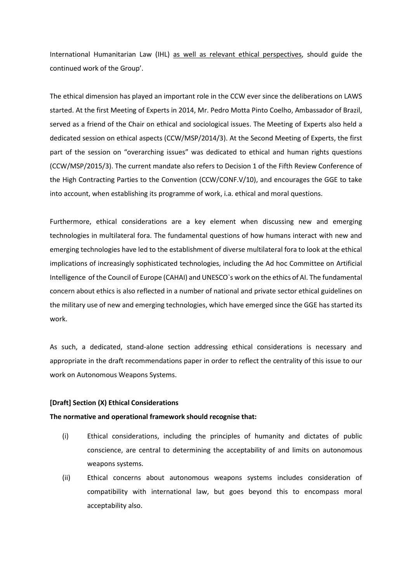International Humanitarian Law (IHL) as well as relevant ethical perspectives, should guide the continued work of the Group'.

The ethical dimension has played an important role in the CCW ever since the deliberations on LAWS started. At the first Meeting of Experts in 2014, Mr. Pedro Motta Pinto Coelho, Ambassador of Brazil, served as a friend of the Chair on ethical and sociological issues. The Meeting of Experts also held a dedicated session on ethical aspects (CCW/MSP/2014/3). At the Second Meeting of Experts, the first part of the session on "overarching issues" was dedicated to ethical and human rights questions (CCW/MSP/2015/3). The current mandate also refers to Decision 1 of the Fifth Review Conference of the High Contracting Parties to the Convention (CCW/CONF.V/10), and encourages the GGE to take into account, when establishing its programme of work, i.a. ethical and moral questions.

Furthermore, ethical considerations are a key element when discussing new and emerging technologies in multilateral fora. The fundamental questions of how humans interact with new and emerging technologies have led to the establishment of diverse multilateral fora to look at the ethical implications of increasingly sophisticated technologies, including the Ad hoc Committee on Artificial Intelligence of the Council of Europe (CAHAI) and UNESCO`s work on the ethics of AI. The fundamental concern about ethics is also reflected in a number of national and private sector ethical guidelines on the military use of new and emerging technologies, which have emerged since the GGE has started its work.

As such, a dedicated, stand-alone section addressing ethical considerations is necessary and appropriate in the draft recommendations paper in order to reflect the centrality of this issue to our work on Autonomous Weapons Systems.

# **[Draft] Section (X) Ethical Considerations**

#### **The normative and operational framework should recognise that:**

- (i) Ethical considerations, including the principles of humanity and dictates of public conscience, are central to determining the acceptability of and limits on autonomous weapons systems.
- (ii) Ethical concerns about autonomous weapons systems includes consideration of compatibility with international law, but goes beyond this to encompass moral acceptability also.